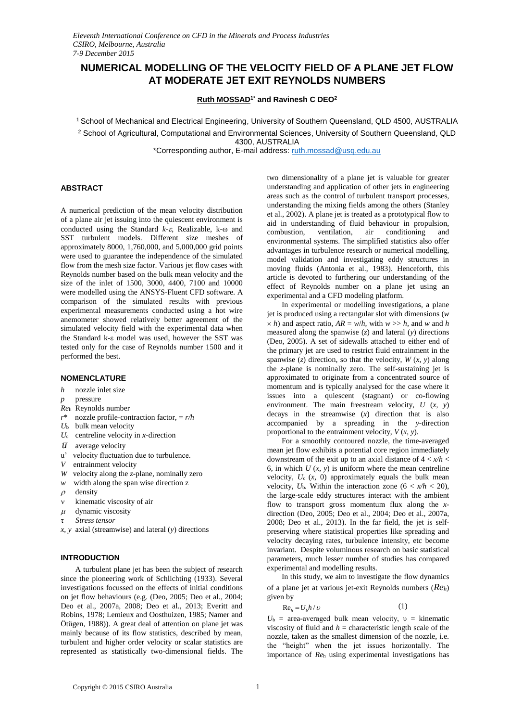# **NUMERICAL MODELLING OF THE VELOCITY FIELD OF A PLANE JET FLOW AT MODERATE JET EXIT REYNOLDS NUMBERS**

**Ruth MOSSAD1\* and Ravinesh C DEO<sup>2</sup>**

<sup>1</sup>School of Mechanical and Electrical Engineering, University of Southern Queensland, QLD 4500, AUSTRALIA

<sup>2</sup> School of Agricultural, Computational and Environmental Sciences, University of Southern Queensland, QLD 4300, AUSTRALIA

\*Corresponding author, E-mail address[: ruth.mossad@usq.edu.au](mailto:ruth.mossad@usq.edu.au)

#### **ABSTRACT**

A numerical prediction of the mean velocity distribution of a plane air jet issuing into the quiescent environment is conducted using the Standard  $k-\varepsilon$ , Realizable, k- $\omega$  and SST turbulent models. Different size meshes of approximately 8000, 1,760,000, and 5,000,000 grid points were used to guarantee the independence of the simulated flow from the mesh size factor. Various jet flow cases with Reynolds number based on the bulk mean velocity and the size of the inlet of 1500, 3000, 4400, 7100 and 10000 were modelled using the ANSYS-Fluent CFD software. A comparison of the simulated results with previous experimental measurements conducted using a hot wire anemometer showed relatively better agreement of the simulated velocity field with the experimental data when the Standard k- $\varepsilon$  model was used, however the SST was tested only for the case of Reynolds number 1500 and it performed the best.

#### **NOMENCLATURE**

- *h* nozzle inlet size
- *p* pressure
- *Re*<sup>h</sup> Reynolds number
- *r*\* nozzle profile-contraction factor, = *r/h*
- *U*<sup>b</sup> bulk mean velocity
- *U*<sup>c</sup> centreline velocity in *x*-direction
- $\overline{u}$  average velocity
- u' velocity fluctuation due to turbulence.
- *V* entrainment velocity
- *W* velocity along the *z*-plane, nominally zero
- *w* width along the span wise direction z
- $\rho$  density
- v kinematic viscosity of air
- $\mu$  dynamic viscosity
- τ *Stress tensor*
- *x*, *y* axial (streamwise) and lateral (*y*) directions

#### **INTRODUCTION**

A turbulent plane jet has been the subject of research since the pioneering work of Schlichting (1933). Several investigations focussed on the effects of initial conditions on jet flow behaviours (e.g. (Deo, 2005; Deo et al., 2004; Deo et al., 2007a, 2008; Deo et al., 2013; Everitt and Robins, 1978; Lemieux and Oosthuizen, 1985; Namer and Ötügen, 1988)). A great deal of attention on plane jet was mainly because of its flow statistics, described by mean, turbulent and higher order velocity or scalar statistics are represented as statistically two-dimensional fields. The two dimensionality of a plane jet is valuable for greater understanding and application of other jets in engineering areas such as the control of turbulent transport processes, understanding the mixing fields among the others (Stanley et al., 2002). A plane jet is treated as a prototypical flow to aid in understanding of fluid behaviour in propulsion, air conditioning and environmental systems. The simplified statistics also offer advantages in turbulence research or numerical modelling, model validation and investigating eddy structures in moving fluids (Antonia et al., 1983). Henceforth, this article is devoted to furthering our understanding of the effect of Reynolds number on a plane jet using an experimental and a CFD modeling platform.

In experimental or modelling investigations, a plane jet is produced using a rectangular slot with dimensions (*w*   $\times h$ ) and aspect ratio,  $AR = w/h$ , with  $w \gg h$ , and *w* and *h* measured along the spanwise (*z*) and lateral (*y*) directions (Deo, 2005). A set of sidewalls attached to either end of the primary jet are used to restrict fluid entrainment in the spanwise (*z*) direction, so that the velocity, *W* (*x*, *y*) along the *z*-plane is nominally zero. The self-sustaining jet is approximated to originate from a concentrated source of momentum and is typically analysed for the case where it issues into a quiescent (stagnant) or co-flowing environment. The main freestream velocity, *U* (*x*, *y*) decays in the streamwise (*x*) direction that is also accompanied by a spreading in the *y*-direction proportional to the entrainment velocity, *V* (*x*, *y*).

For a smoothly contoured nozzle, the time-averaged mean jet flow exhibits a potential core region immediately downstream of the exit up to an axial distance of  $4 < x/h <$ 6, in which  $U(x, y)$  is uniform where the mean centreline velocity,  $U_c$  ( $x$ , 0) approximately equals the bulk mean velocity,  $U_b$ . Within the interaction zone ( $6 < x/h < 20$ ), the large-scale eddy structures interact with the ambient flow to transport gross momentum flux along the *x*direction (Deo, 2005; Deo et al., 2004; Deo et al., 2007a, 2008; Deo et al., 2013). In the far field, the jet is selfpreserving where statistical properties like spreading and velocity decaying rates, turbulence intensity, etc become invariant. Despite voluminous research on basic statistical parameters, much lesser number of studies has compared experimental and modelling results.

In this study, we aim to investigate the flow dynamics of a plane jet at various jet-exit Reynolds numbers (*Reh*) given by

$$
\text{Re}_h = U_b h / \upsilon \tag{1}
$$

 $U_{\rm b}$  = area-averaged bulk mean velocity,  $v =$  kinematic viscosity of fluid and  $h =$  characteristic length scale of the nozzle, taken as the smallest dimension of the nozzle, i.e. the "height" when the jet issues horizontally. The importance of *Re*<sup>h</sup> using experimental investigations has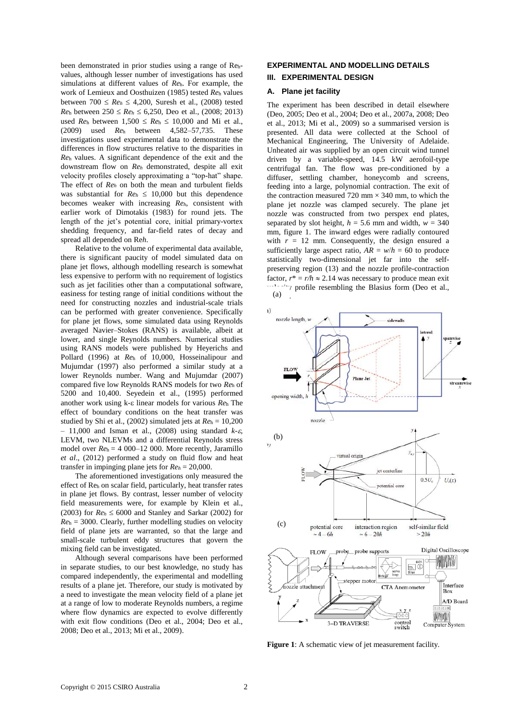been demonstrated in prior studies using a range of Rehvalues, although lesser number of investigations has used simulations at different values of *Re*h. For example, the work of Lemieux and Oosthuizen (1985) tested *Re*<sup>h</sup> values between  $700 \le Re_h \le 4,200$ , Suresh et al., (2008) tested *Reh* between  $250 \leq Re_h \leq 6,250$ , Deo et al., (2008; 2013) used  $Re_h$  between  $1,500 \leq Re_h \leq 10,000$  and Mi et al., (2009) used *Re*<sup>h</sup> between 4,582–57,735. These investigations used experimental data to demonstrate the differences in flow structures relative to the disparities in *Re*<sup>h</sup> values. A significant dependence of the exit and the downstream flow on *Re<sup>h</sup>* demonstrated, despite all exit velocity profiles closely approximating a "top-hat" shape. The effect of *Re<sup>h</sup>* on both the mean and turbulent fields was substantial for  $Re_h \leq 10,000$  but this dependence becomes weaker with increasing *Reh*, consistent with earlier work of Dimotakis (1983) for round jets. The length of the jet's potential core, initial primary-vortex shedding frequency, and far-field rates of decay and spread all depended on Re*h*.

Relative to the volume of experimental data available, there is significant paucity of model simulated data on plane jet flows, although modelling research is somewhat less expensive to perform with no requirement of logistics such as jet facilities other than a computational software, easiness for testing range of initial conditions without the need for constructing nozzles and industrial-scale trials can be performed with greater convenience. Specifically for plane jet flows, some simulated data using Reynolds averaged Navier–Stokes (RANS) is available, albeit at lower, and single Reynolds numbers. Numerical studies using RANS models were published by Heyerichs and Pollard (1996) at *Re*<sup>h</sup> of 10,000, Hosseinalipour and Mujumdar (1997) also performed a similar study at a lower Reynolds number. Wang and Mujumdar (2007) compared five low Reynolds RANS models for two *Re*<sup>h</sup> of 5200 and 10,400. Seyedein et al., (1995) performed another work using k- $\varepsilon$  linear models for various  $Re<sub>h</sub>$  The effect of boundary conditions on the heat transfer was studied by Shi et al., (2002) simulated jets at  $Re_h = 10,200$  $-11,000$  and Isman et al., (2008) using standard  $k-\varepsilon$ , LEVM, two NLEVMs and a differential Reynolds stress model over *Re*h = 4 000–12 000. More recently, Jaramillo *et al*., (2012) performed a study on fluid flow and heat transfer in impinging plane jets for *Re<sup>h</sup>* = 20,000.

The aforementioned investigations only measured the effect of Re<sup>h</sup> on scalar field, particularly, heat transfer rates in plane jet flows. By contrast, lesser number of velocity field measurements were, for example by Klein et al., (2003) for  $Re_h \le 6000$  and Stanley and Sarkar (2002) for  $Re<sub>h</sub> = 3000$ . Clearly, further modelling studies on velocity field of plane jets are warranted, so that the large and small-scale turbulent eddy structures that govern the mixing field can be investigated.

Although several comparisons have been performed in separate studies, to our best knowledge, no study has compared independently, the experimental and modelling results of a plane jet. Therefore, our study is motivated by a need to investigate the mean velocity field of a plane jet at a range of low to moderate Reynolds numbers, a regime where flow dynamics are expected to evolve differently with exit flow conditions (Deo et al., 2004; Deo et al., 2008; Deo et al., 2013; Mi et al., 2009).

## **EXPERIMENTAL AND MODELLING DETAILS**

## **III. EXPERIMENTAL DESIGN**

## **A. Plane jet facility**

The experiment has been described in detail elsewhere (Deo, 2005; Deo et al., 2004; Deo et al., 2007a, 2008; Deo et al., 2013; Mi et al., 2009) so a summarised version is presented. All data were collected at the School of Mechanical Engineering, The University of Adelaide. Unheated air was supplied by an open circuit wind tunnel driven by a variable-speed, 14.5 kW aerofoil-type centrifugal fan. The flow was pre-conditioned by a diffuser, settling chamber, honeycomb and screens, feeding into a large, polynomial contraction. The exit of the contraction measured 720 mm  $\times$  340 mm, to which the plane jet nozzle was clamped securely. The plane jet nozzle was constructed from two perspex end plates, separated by slot height,  $h = 5.6$  mm and width,  $w = 340$ mm, figure 1. The inward edges were radially contoured with  $r = 12$  mm. Consequently, the design ensured a sufficiently large aspect ratio,  $AR = w/h = 60$  to produce statistically two-dimensional jet far into the selfpreserving region (13) and the nozzle profile-contraction factor,  $r^* = r/h \approx 2.14$  was necessary to produce mean exit  $\gamma$  profile resembling the Blasius form (Deo et al.,





**Figure 1**: A schematic view of jet measurement facility.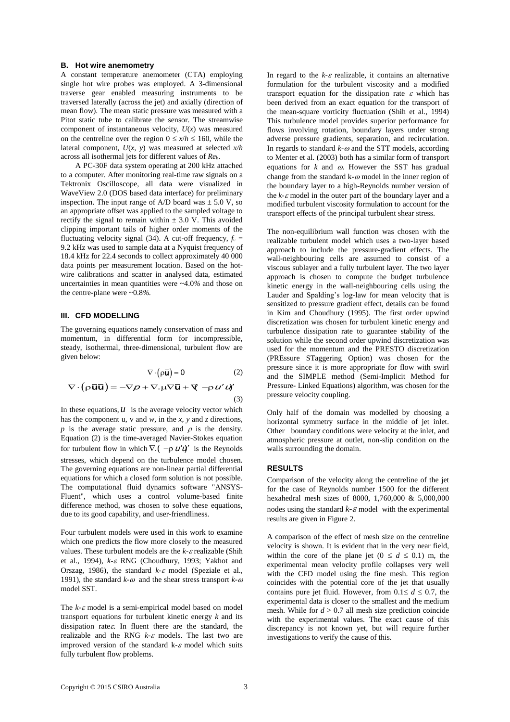#### **B. Hot wire anemometry**

A constant temperature anemometer (CTA) employing single hot wire probes was employed. A 3-dimensional traverse gear enabled measuring instruments to be traversed laterally (across the jet) and axially (direction of mean flow). The mean static pressure was measured with a Pitot static tube to calibrate the sensor. The streamwise component of instantaneous velocity, *U*(*x*) was measured on the centreline over the region  $0 \le x/h \le 160$ , while the lateral component, *U*(*x*, *y*) was measured at selected *x/h* across all isothermal jets for different values of *Re*h.

A PC-30F data system operating at 200 kHz attached to a computer. After monitoring real-time raw signals on a Tektronix Oscilloscope, all data were visualized in WaveView 2.0 (DOS based data interface) for preliminary inspection. The input range of  $A/D$  board was  $\pm$  5.0 V, so an appropriate offset was applied to the sampled voltage to rectify the signal to remain within  $\pm$  3.0 V. This avoided clipping important tails of higher order moments of the fluctuating velocity signal (34). A cut-off frequency,  $f_c =$ 9.2 kHz was used to sample data at a Nyquist frequency of 18.4 kHz for 22.4 seconds to collect approximately 40 000 data points per measurement location. Based on the hotwire calibrations and scatter in analysed data, estimated uncertainties in mean quantities were ~4.0*%* and those on the centre-plane were ~0.8*%*.

## **III. CFD MODELLING**

The governing equations namely conservation of mass and momentum, in differential form for incompressible, steady, isothermal, three-dimensional, turbulent flow are given below:

$$
\nabla \cdot (\rho \overline{\mathbf{u}}) = 0 \qquad (2)
$$

$$
\nabla \cdot (\rho \overline{\mathbf{u}} \overline{\mathbf{u}}) = -\nabla \rho + \nabla \cdot \mu \nabla \overline{\mathbf{u}} + \nabla \cdot \rho \mathbf{u}' \mathbf{u}' \qquad (3)
$$

In these equations,  $\overline{u}$  is the average velocity vector which has the component u, v and *w,* in the *x, y* and *z* directions, *p* is the average static pressure, and  $\rho$  is the density. Equation (2) is the time-averaged Navier-Stokes equation for turbulent flow in which  $\nabla$ .  $(-\rho \, u' \dot{u}'')$  is the Reynolds stresses, which depend on the turbulence model chosen. The governing equations are non-linear partial differential equations for which a closed form solution is not possible. The computational fluid dynamics software "ANSYS-Fluent", which uses a control volume-based finite difference method, was chosen to solve these equations, due to its good capability, and user-friendliness.

Four turbulent models were used in this work to examine which one predicts the flow more closely to the measured values. These turbulent models are the  $k$ - $\varepsilon$  realizable (Shih et al., 1994),  $k$ - $\varepsilon$  RNG (Choudhury, 1993; Yakhot and Orszag, 1986), the standard  $k \text{-} \varepsilon$  model (Speziale et al., 1991), the standard  $k-\omega$  and the shear stress transport  $k-\omega$ model SST.

The  $k$ - $\varepsilon$  model is a semi-empirical model based on model transport equations for turbulent kinetic energy *k* and its dissipation rates. In fluent there are the standard, the realizable and the RNG  $k-\varepsilon$  models. The last two are improved version of the standard k- $\varepsilon$  model which suits fully turbulent flow problems.

In regard to the  $k$ - $\varepsilon$  realizable, it contains an alternative formulation for the turbulent viscosity and a modified transport equation for the dissipation rate  $\varepsilon$  which has been derived from an exact equation for the transport of the mean-square vorticity fluctuation (Shih et al., 1994) This turbulence model provides superior performance for flows involving rotation, boundary layers under strong adverse pressure gradients, separation, and recirculation. In regards to standard  $k-\omega$  and the STT models, according to Menter et al. (2003) both has a similar form of transport equations for  $k$  and  $\omega$ . However the SST has gradual change from the standard k- $\omega$  model in the inner region of the boundary layer to a high-Reynolds number version of the  $k - \varepsilon$  model in the outer part of the boundary layer and a modified turbulent viscosity formulation to account for the transport effects of the principal turbulent shear stress.

The non-equilibrium wall function was chosen with the realizable turbulent model which uses a two-layer based approach to include the pressure-gradient effects. The wall-neighbouring cells are assumed to consist of a viscous sublayer and a fully turbulent layer. The two layer approach is chosen to compute the budget turbulence kinetic energy in the wall-neighbouring cells using the Lauder and Spalding's log-law for mean velocity that is sensitized to pressure gradient effect, details can be found in Kim and Choudhury (1995). The first order upwind discretization was chosen for turbulent kinetic energy and turbulence dissipation rate to guarantee stability of the solution while the second order upwind discretization was used for the momentum and the PRESTO discretization (PREssure STaggering Option) was chosen for the pressure since it is more appropriate for flow with swirl and the SIMPLE method (Semi-Implicit Method for Pressure- Linked Equations) algorithm, was chosen for the pressure velocity coupling.

Only half of the domain was modelled by choosing a horizontal symmetry surface in the middle of jet inlet. Other boundary conditions were velocity at the inlet, and atmospheric pressure at outlet, non-slip condition on the walls surrounding the domain.

### **RESULTS**

Comparison of the velocity along the centreline of the jet for the case of Reynolds number 1500 for the different hexahedral mesh sizes of 8000, 1,760,000 & 5,000,000 nodes using the standard  $k - \varepsilon$  model with the experimental results are given in Figure 2.

A comparison of the effect of mesh size on the centreline velocity is shown. It is evident that in the very near field, within the core of the plane jet  $(0 \le d \le 0.1)$  m, the experimental mean velocity profile collapses very well with the CFD model using the fine mesh. This region coincides with the potential core of the jet that usually contains pure jet fluid. However, from  $0.1 \le d \le 0.7$ , the experimental data is closer to the smallest and the medium mesh. While for  $d > 0.7$  all mesh size prediction coincide with the experimental values. The exact cause of this discrepancy is not known yet, but will require further investigations to verify the cause of this.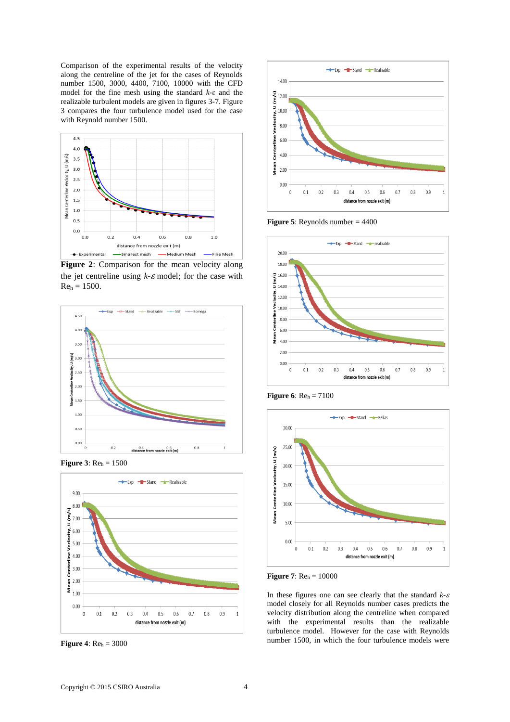Comparison of the experimental results of the velocity along the centreline of the jet for the cases of Reynolds number 1500, 3000, 4400, 7100, 10000 with the CFD model for the fine mesh using the standard *k*-ɛ and the realizable turbulent models are given in figures 3-7. Figure 3 compares the four turbulence model used for the case with Reynold number 1500.



**Figure 2**: Comparison for the mean velocity along the jet centreline using  $k$ - $\varepsilon$  model; for the case with  $Re_h = 1500.$ 



**Figure 3**: Re<sup>h</sup> = 1500



**Figure 4**:  $Re<sub>h</sub> = 3000$ 



**Figure 5**: Reynolds number = 4400



**Figure 6**: Re<sup>h</sup> = 7100



**Figure 7**: Re<sup>h</sup> = 10000

In these figures one can see clearly that the standard  $k$ - $\varepsilon$ model closely for all Reynolds number cases predicts the velocity distribution along the centreline when compared with the experimental results than the realizable turbulence model. However for the case with Reynolds number 1500, in which the four turbulence models were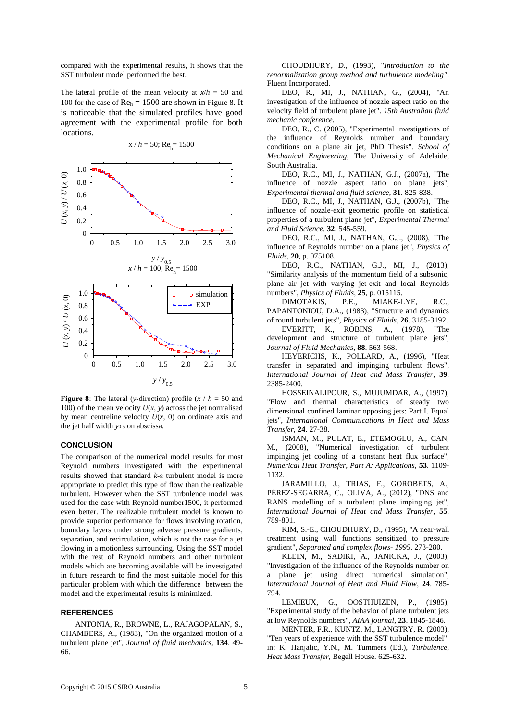compared with the experimental results, it shows that the SST turbulent model performed the best.

The lateral profile of the mean velocity at  $x/h = 50$  and 100 for the case of Re<sup>h</sup> **=** 1500 are shown in Figure 8. It is noticeable that the simulated profiles have good agreement with the experimental profile for both locations.



 $x / h = 50$ ; Re<sub>h</sub> = 1500

**Figure 8**: The lateral (*y*-direction) profile  $(x / h = 50$  and 100) of the mean velocity  $U(x, y)$  across the jet normalised by mean centreline velocity  $U(x, 0)$  on ordinate axis and the jet half width *y*0.5 on abscissa.

#### **CONCLUSION**

The comparison of the numerical model results for most Reynold numbers investigated with the experimental results showed that standard  $k$ - $\varepsilon$  turbulent model is more appropriate to predict this type of flow than the realizable turbulent. However when the SST turbulence model was used for the case with Reynold number1500, it performed even better. The realizable turbulent model is known to provide superior performance for flows involving rotation, boundary layers under strong adverse pressure gradients, separation, and recirculation, which is not the case for a jet flowing in a motionless surrounding. Using the SST model with the rest of Reynold numbers and other turbulent models which are becoming available will be investigated in future research to find the most suitable model for this particular problem with which the difference between the model and the experimental results is minimized.

## **REFERENCES**

ANTONIA, R., BROWNE, L., RAJAGOPALAN, S., CHAMBERS, A., (1983), "On the organized motion of a turbulent plane jet", *Journal of fluid mechanics*, **134**. 49- 66.

CHOUDHURY, D., (1993), "*Introduction to the renormalization group method and turbulence modeling"*. Fluent Incorporated.

DEO, R., MI, J., NATHAN, G., (2004), "An investigation of the influence of nozzle aspect ratio on the velocity field of turbulent plane jet". *15th Australian fluid mechanic conference*.

DEO, R., C. (2005), "Experimental investigations of the influence of Reynolds number and boundary conditions on a plane air jet, PhD Thesis". *School of Mechanical Engineering*, The University of Adelaide, South Australia.

DEO, R.C., MI, J., NATHAN, G.J., (2007a), "The influence of nozzle aspect ratio on plane jets", *Experimental thermal and fluid science*, **31**. 825-838.

DEO, R.C., MI, J., NATHAN, G.J., (2007b), "The influence of nozzle-exit geometric profile on statistical properties of a turbulent plane jet", *Experimental Thermal and Fluid Science*, **32**. 545-559.

DEO, R.C., MI, J., NATHAN, G.J., (2008), "The influence of Reynolds number on a plane jet", *Physics of Fluids*, **20**, p. 075108.

DEO, R.C., NATHAN, G.J., MI, J., (2013), "Similarity analysis of the momentum field of a subsonic, plane air jet with varying jet-exit and local Reynolds numbers", *Physics of Fluids*, **25**, p. 015115.

DIMOTAKIS, P.E., MIAKE-LYE, R.C., PAPANTONIOU, D.A., (1983), "Structure and dynamics of round turbulent jets", *Physics of Fluids*, **26**. 3185-3192.

EVERITT, K., ROBINS, A., (1978), "The development and structure of turbulent plane jets", *Journal of Fluid Mechanics*, **88**. 563-568.

HEYERICHS, K., POLLARD, A., (1996), "Heat transfer in separated and impinging turbulent flows", *International Journal of Heat and Mass Transfer*, **39**. 2385-2400.

HOSSEINALIPOUR, S., MUJUMDAR, A., (1997), "Flow and thermal characteristics of steady two dimensional confined laminar opposing jets: Part I. Equal jets", *International Communications in Heat and Mass Transfer*, **24**. 27-38.

ISMAN, M., PULAT, E., ETEMOGLU, A., CAN, M., (2008), "Numerical investigation of turbulent impinging jet cooling of a constant heat flux surface", *Numerical Heat Transfer, Part A: Applications*, **53**. 1109- 1132.

JARAMILLO, J., TRIAS, F., GOROBETS, A., PÉREZ-SEGARRA, C., OLIVA, A., (2012), "DNS and RANS modelling of a turbulent plane impinging jet", *International Journal of Heat and Mass Transfer*, **55**. 789-801.

KIM, S.-E., CHOUDHURY, D., (1995), "A near-wall treatment using wall functions sensitized to pressure gradient", *Separated and complex flows- 1995*. 273-280.

KLEIN, M., SADIKI, A., JANICKA, J., (2003), "Investigation of the influence of the Reynolds number on a plane jet using direct numerical simulation", *International Journal of Heat and Fluid Flow*, **24**. 785- 794.

LEMIEUX, G., OOSTHUIZEN, P., (1985), "Experimental study of the behavior of plane turbulent jets at low Reynolds numbers", *AIAA journal*, **23**. 1845-1846.

MENTER, F.R., KUNTZ, M., LANGTRY, R. (2003), "Ten years of experience with the SST turbulence model". in: K. Hanjalic, Y.N., M. Tummers (Ed.), *Turbulence, Heat Mass Transfer*, Begell House. 625-632.